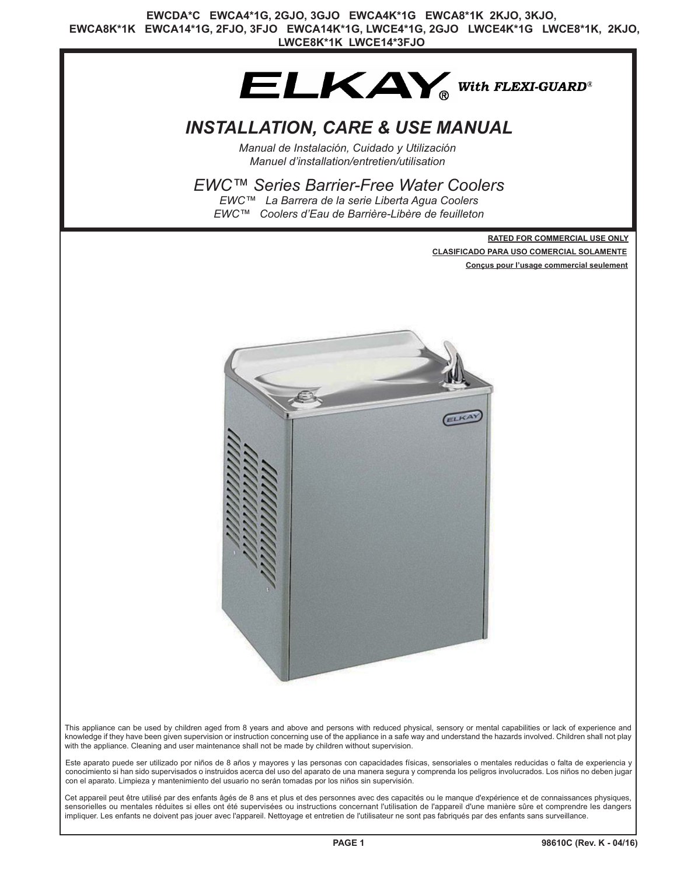

# *INSTALLATION, CARE & USE MANUAL*

*Manual de Instalación, Cuidado y Utilización Manuel d'installation/entretien/utilisation*

### *EWC™ Series Barrier-Free Water Coolers*

*EWC™ La Barrera de la serie Liberta Agua Coolers EWC™ Coolers d'Eau de Barrière-Libère de feuilleton*

> **RATED FOR COMMERCIAL USE ONLY CLASIFICADO PARA USO COMERCIAL SOLAMENTE Conçus pour l'usage commercial seulement**



This appliance can be used by children aged from 8 years and above and persons with reduced physical, sensory or mental capabilities or lack of experience and knowledge if they have been given supervision or instruction concerning use of the appliance in a safe way and understand the hazards involved. Children shall not play with the appliance. Cleaning and user maintenance shall not be made by children without supervision.

Este aparato puede ser utilizado por niños de 8 años y mayores y las personas con capacidades físicas, sensoriales o mentales reducidas o falta de experiencia y conocimiento si han sido supervisados o instruidos acerca del uso del aparato de una manera segura y comprenda los peligros involucrados. Los niños no deben jugar con el aparato. Limpieza y mantenimiento del usuario no serán tomadas por los niños sin supervisión.

Cet appareil peut être utilisé par des enfants âgés de 8 ans et plus et des personnes avec des capacités ou le manque d'expérience et de connaissances physiques, sensorielles ou mentales réduites si elles ont été supervisées ou instructions concernant l'utilisation de l'appareil d'une manière sûre et comprendre les dangers impliquer. Les enfants ne doivent pas jouer avec l'appareil. Nettoyage et entretien de l'utilisateur ne sont pas fabriqués par des enfants sans surveillance.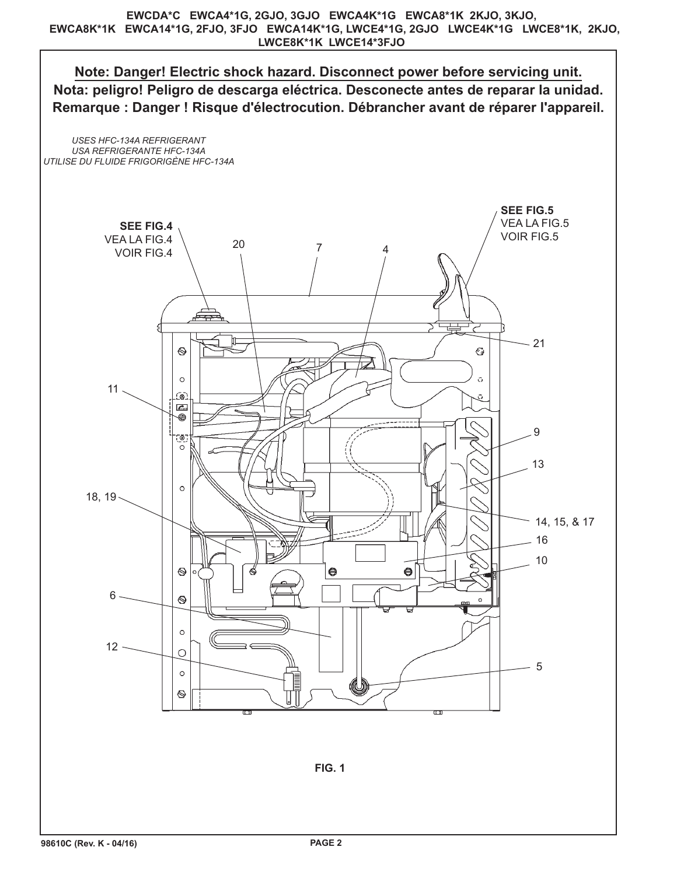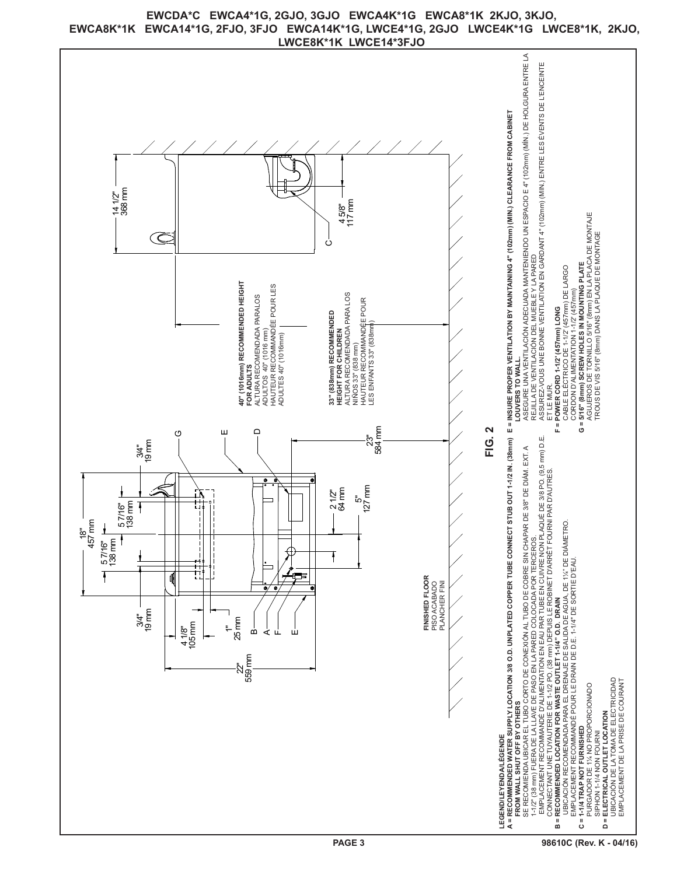

## **EWCDA\*C EWCA4\*1G, 2GJO, 3GJO EWCA4K\*1G EWCA8\*1K 2KJO, 3KJO, EWCA8K\*1K EWCA14\*1G, 2FJO, 3FJO EWCA14K\*1G, LWCE4\*1G, 2GJO LWCE4K\*1G LWCE8\*1K, 2KJO,**

**98610C (Rev. K - 04/16)**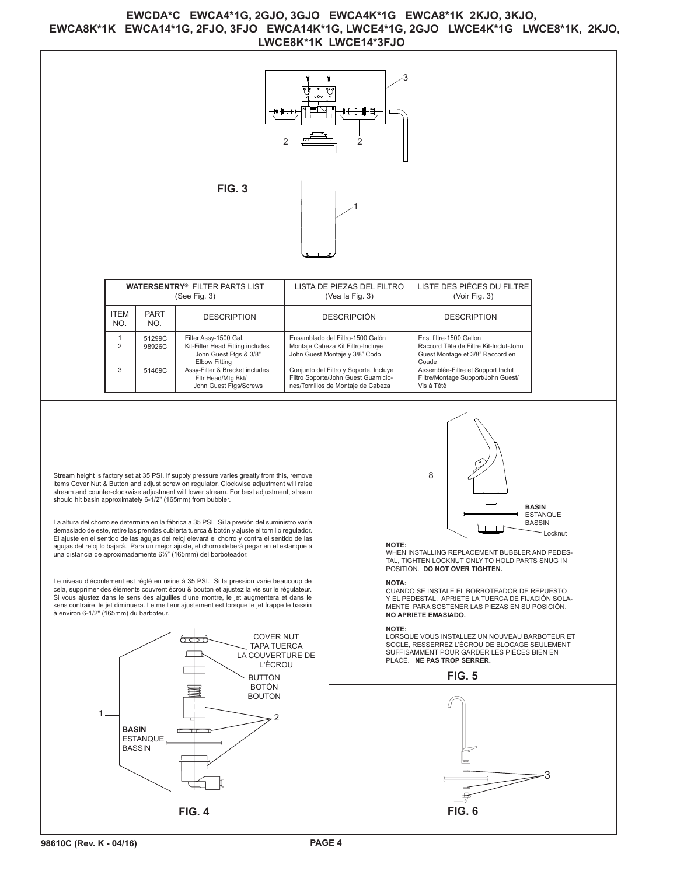### **EWCDA\*C EWCA4\*1G, 2GJO, 3GJO EWCA4K\*1G EWCA8\*1K 2KJO, 3KJO, EWCA8K\*1K EWCA14\*1G, 2FJO, 3FJO EWCA14K\*1G, LWCE4\*1G, 2GJO LWCE4K\*1G LWCE8\*1K, 2KJO,**

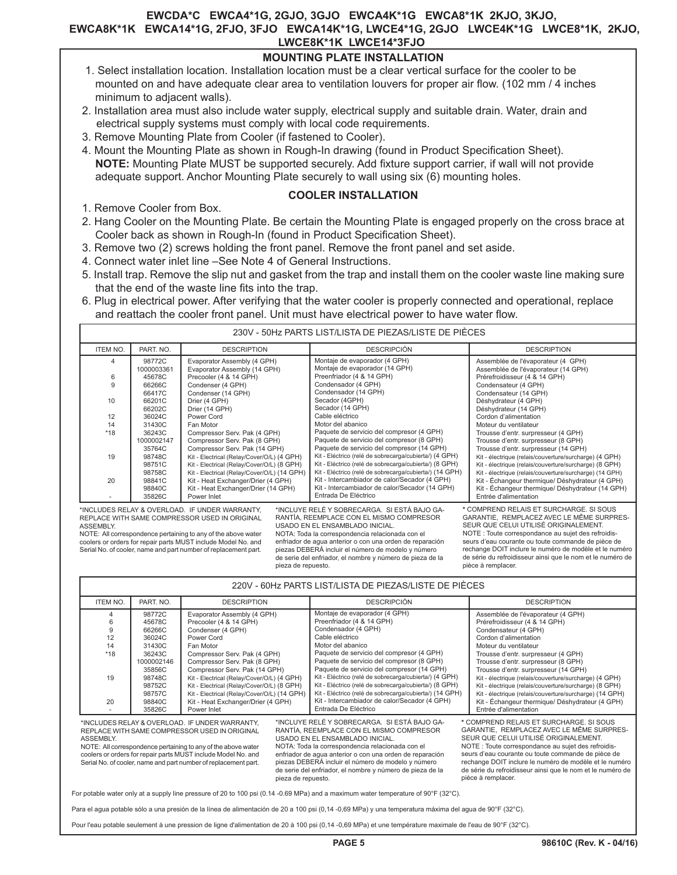#### **EWCDA\*C EWCA4\*1G, 2GJO, 3GJO EWCA4K\*1G EWCA8\*1K 2KJO, 3KJO, EWCA8K\*1K EWCA14\*1G, 2FJO, 3FJO EWCA14K\*1G, LWCE4\*1G, 2GJO LWCE4K\*1G LWCE8\*1K, 2KJO, LWCE8K\*1K LWCE14\*3FJO**

### **MOUNTING PLATE INSTALLATION**

- 1. Select installation location. Installation location must be a clear vertical surface for the cooler to be mounted on and have adequate clear area to ventilation louvers for proper air flow. (102 mm / 4 inches minimum to adjacent walls).
- 2. Installation area must also include water supply, electrical supply and suitable drain. Water, drain and electrical supply systems must comply with local code requirements.
- 3. Remove Mounting Plate from Cooler (if fastened to Cooler).
- 4. Mount the Mounting Plate as shown in Rough-In drawing (found in Product Specification Sheet). **NOTE:** Mounting Plate MUST be supported securely. Add fixture support carrier, if wall will not provide adequate support. Anchor Mounting Plate securely to wall using six (6) mounting holes.

#### **COOLER INSTALLATION**

- 1. Remove Cooler from Box.
- 2. Hang Cooler on the Mounting Plate. Be certain the Mounting Plate is engaged properly on the cross brace at Cooler back as shown in Rough-In (found in Product Specification Sheet).
- 3. Remove two (2) screws holding the front panel. Remove the front panel and set aside.
- 4. Connect water inlet line –See Note 4 of General Instructions.
- 5. Install trap. Remove the slip nut and gasket from the trap and install them on the cooler waste line making sure that the end of the waste line fits into the trap.
- 6. Plug in electrical power. After verifying that the water cooler is properly connected and operational, replace and reattach the cooler front panel. Unit must have electrical power to have water flow.

| 230V - 50Hz PARTS LIST/LISTA DE PIEZAS/LISTE DE PIÈCES                                                                                                                                                                                                                              |                      |                                                             |                                                                 |                                                                           |
|-------------------------------------------------------------------------------------------------------------------------------------------------------------------------------------------------------------------------------------------------------------------------------------|----------------------|-------------------------------------------------------------|-----------------------------------------------------------------|---------------------------------------------------------------------------|
| <b>ITEM NO.</b>                                                                                                                                                                                                                                                                     | PART. NO.            | <b>DESCRIPTION</b>                                          | <b>DESCRIPCIÓN</b>                                              | <b>DESCRIPTION</b>                                                        |
| 4                                                                                                                                                                                                                                                                                   | 98772C<br>1000003361 | Evaporator Assembly (4 GPH)<br>Evaporator Assembly (14 GPH) | Montaje de evaporador (4 GPH)<br>Montaje de evaporador (14 GPH) | Assemblée de l'évaporateur (4 GPH)<br>Assemblée de l'évaporateur (14 GPH) |
| 6                                                                                                                                                                                                                                                                                   | 45678C               | Precooler (4 & 14 GPH)                                      | Preenfriador (4 & 14 GPH)                                       | Prérefroidisseur (4 & 14 GPH)                                             |
| $\mathbf{Q}$                                                                                                                                                                                                                                                                        | 66266C               | Condenser (4 GPH)                                           | Condensador (4 GPH)                                             | Condensateur (4 GPH)                                                      |
|                                                                                                                                                                                                                                                                                     | 66417C               | Condenser (14 GPH)                                          | Condensador (14 GPH)                                            | Condensateur (14 GPH)                                                     |
| 10                                                                                                                                                                                                                                                                                  | 66201C               | Drier (4 GPH)                                               | Secador (4GPH)                                                  | Déshydrateur (4 GPH)                                                      |
|                                                                                                                                                                                                                                                                                     | 66202C               | Drier (14 GPH)                                              | Secador (14 GPH)                                                | Déshydrateur (14 GPH)                                                     |
| 12                                                                                                                                                                                                                                                                                  | 36024C               | Power Cord                                                  | Cable eléctrico                                                 | Cordon d'alimentation                                                     |
| 14                                                                                                                                                                                                                                                                                  | 31430C               | Fan Motor                                                   | Motor del abanico                                               | Moteur du ventilateur                                                     |
| $*18$                                                                                                                                                                                                                                                                               | 36243C               | Compressor Serv. Pak (4 GPH)                                | Paquete de servicio del compresor (4 GPH)                       | Trousse d'entr. surpresseur (4 GPH)                                       |
|                                                                                                                                                                                                                                                                                     | 1000002147           | Compressor Serv. Pak (8 GPH)                                | Paquete de servicio del compresor (8 GPH)                       | Trousse d'entr. surpresseur (8 GPH)                                       |
|                                                                                                                                                                                                                                                                                     | 35764C               | Compressor Serv. Pak (14 GPH)                               | Paquete de servicio del compresor (14 GPH)                      | Trousse d'entr. surpresseur (14 GPH)                                      |
| 19                                                                                                                                                                                                                                                                                  | 98748C               | Kit - Electrical (Relay/Cover/O/L) (4 GPH)                  | Kit - Eléctrico (relé de sobrecarga/cubierta/) (4 GPH)          | Kit - électrique (relais/couverture/surcharge) (4 GPH)                    |
|                                                                                                                                                                                                                                                                                     | 98751C               | Kit - Electrical (Relay/Cover/O/L) (8 GPH)                  | Kit - Eléctrico (relé de sobrecarga/cubierta/) (8 GPH)          | Kit - électrique (relais/couverture/surcharge) (8 GPH)                    |
|                                                                                                                                                                                                                                                                                     | 98758C               | Kit - Electrical (Relay/Cover/O/L) (14 GPH)                 | Kit - Eléctrico (relé de sobrecarga/cubierta/) (14 GPH)         | Kit - électrique (relais/couverture/surcharge) (14 GPH)                   |
| 20                                                                                                                                                                                                                                                                                  | 98841C               | Kit - Heat Exchanger/Drier (4 GPH)                          | Kit - Intercambiador de calor/Secador (4 GPH)                   | Kit - Échangeur thermique/ Déshydrateur (4 GPH)                           |
|                                                                                                                                                                                                                                                                                     | 98840C               | Kit - Heat Exchanger/Drier (14 GPH)                         | Kit - Intercambiador de calor/Secador (14 GPH)                  | Kit - Échangeur thermique/ Déshydrateur (14 GPH)                          |
|                                                                                                                                                                                                                                                                                     | 35826C               | Power Inlet                                                 | Entrada De Eléctrico                                            | Entrée d'alimentation                                                     |
| *INCLUYE RELÉ Y SOBRECARGA. SI ESTÁ BAJO GA-<br>* COMPREND RELAIS ET SURCHARGE. SI SOUS<br>*INCLUDES RELAY & OVERLOAD. IF UNDER WARRANTY.<br>GARANTIE, REMPLACEZ AVEC LE MÊME SURPRES-<br>RANTÍA, REEMPLACE CON EL MISMO COMPRESOR<br>REPLACE WITH SAME COMPRESSOR USED IN ORIGINAL |                      |                                                             |                                                                 |                                                                           |

\*INCLUDES RELAY & OVERLOAD. IF UNDER WARRANTY, REPLACE WITH SAME COMPRESSOR USED IN ORIGINAL ASSEMBLY.

NOTE: All correspondence pertaining to any of the above water coolers or orders for repair parts MUST include Model No. and Serial No. of cooler, name and part number of replacement part.

#### USADO EN EL ENSAMBLADO INICIAL. NOTA: Toda la correspondencia relacionada con el enfriador de agua anterior o con una orden de reparación piezas DEBERÁ incluir el número de modelo y número de serie del enfriador, el nombre y número de pieza de la pieza de repuesto.

|                                                                                                                                                                                                                                                                                                                                         |                                                                                                      |                                                                                                                                                                                                                                                                                                                                                                |                                                                                                                                                                                                                                                                                                                                                                                         | 220V - 60Hz PARTS LIST/LISTA DE PIEZAS/LISTE DE PIÈCES                                                                                                                                                                                                                                                                                                                                |                                                                                                                                                                                                                                                                                                                                                                                         |  |
|-----------------------------------------------------------------------------------------------------------------------------------------------------------------------------------------------------------------------------------------------------------------------------------------------------------------------------------------|------------------------------------------------------------------------------------------------------|----------------------------------------------------------------------------------------------------------------------------------------------------------------------------------------------------------------------------------------------------------------------------------------------------------------------------------------------------------------|-----------------------------------------------------------------------------------------------------------------------------------------------------------------------------------------------------------------------------------------------------------------------------------------------------------------------------------------------------------------------------------------|---------------------------------------------------------------------------------------------------------------------------------------------------------------------------------------------------------------------------------------------------------------------------------------------------------------------------------------------------------------------------------------|-----------------------------------------------------------------------------------------------------------------------------------------------------------------------------------------------------------------------------------------------------------------------------------------------------------------------------------------------------------------------------------------|--|
| <b>ITEM NO.</b>                                                                                                                                                                                                                                                                                                                         | PART. NO.                                                                                            | <b>DESCRIPTION</b>                                                                                                                                                                                                                                                                                                                                             |                                                                                                                                                                                                                                                                                                                                                                                         | <b>DESCRIPCIÓN</b>                                                                                                                                                                                                                                                                                                                                                                    | <b>DESCRIPTION</b>                                                                                                                                                                                                                                                                                                                                                                      |  |
| 6<br>g<br>12<br>14<br>$*18$<br>19                                                                                                                                                                                                                                                                                                       | 98772C<br>45678C<br>66266C<br>36024C<br>31430C<br>36243C<br>1000002146<br>35856C<br>98748C<br>98752C | Evaporator Assembly (4 GPH)<br>Precooler (4 & 14 GPH)<br>Condenser (4 GPH)<br>Power Cord<br>Fan Motor<br>Compressor Serv. Pak (4 GPH)<br>Compressor Serv. Pak (8 GPH)<br>Compressor Serv. Pak (14 GPH)<br>Kit - Electrical (Relay/Cover/O/L) (4 GPH)<br>Kit - Electrical (Relay/Cover/O/L) (8 GPH)                                                             |                                                                                                                                                                                                                                                                                                                                                                                         | Montaje de evaporador (4 GPH)<br>Preenfriador (4 & 14 GPH)<br>Condensador (4 GPH)<br>Cable eléctrico<br>Motor del abanico<br>Paquete de servicio del compresor (4 GPH)<br>Paquete de servicio del compresor (8 GPH)<br>Paquete de servicio del compresor (14 GPH)<br>Kit - Eléctrico (relé de sobrecarga/cubierta/) (4 GPH)<br>Kit - Eléctrico (relé de sobrecarga/cubierta/) (8 GPH) | Assemblée de l'évaporateur (4 GPH)<br>Prérefroidisseur (4 & 14 GPH)<br>Condensateur (4 GPH)<br>Cordon d'alimentation<br>Moteur du ventilateur<br>Trousse d'entr. surpresseur (4 GPH)<br>Trousse d'entr. surpresseur (8 GPH)<br>Trousse d'entr. surpresseur (14 GPH)<br>Kit - électrique (relais/couverture/surcharge) (4 GPH)<br>Kit - électrique (relais/couverture/surcharge) (8 GPH) |  |
| 20                                                                                                                                                                                                                                                                                                                                      | 98757C<br>98840C<br>35826C                                                                           | Kit - Electrical (Relay/Cover/O/L) (14 GPH)<br>Kit - Heat Exchanger/Drier (4 GPH)<br>Power Inlet                                                                                                                                                                                                                                                               |                                                                                                                                                                                                                                                                                                                                                                                         | Kit - Eléctrico (relé de sobrecarga/cubierta/) (14 GPH)<br>Kit - Intercambiador de calor/Secador (4 GPH)<br>Entrada De Eléctrico                                                                                                                                                                                                                                                      | Kit - électrique (relais/couverture/surcharge) (14 GPH)<br>Kit - Échangeur thermique/ Déshydrateur (4 GPH)<br>Entrée d'alimentation                                                                                                                                                                                                                                                     |  |
| *INCLUDES RELAY & OVERLOAD. IF UNDER WARRANTY.<br>REPLACE WITH SAME COMPRESSOR USED IN ORIGINAL<br>ASSEMBLY.<br>NOTE: All correspondence pertaining to any of the above water<br>coolers or orders for repair parts MUST include Model No. and<br>Serial No. of cooler, name and part number of replacement part.<br>pieza de repuesto. |                                                                                                      | *INCLUYE RELÉ Y SOBRECARGA. SI ESTÁ BAJO GA-<br>RANTÍA, REEMPLACE CON EL MISMO COMPRESOR<br>USADO EN EL ENSAMBLADO INICIAL.<br>NOTA: Toda la correspondencia relacionada con el<br>enfriador de agua anterior o con una orden de reparación<br>piezas DEBERÁ incluir el número de modelo y número<br>de serie del enfriador, el nombre y número de pieza de la | * COMPREND RELAIS ET SURCHARGE. SI SOUS<br>GARANTIE, REMPLACEZ AVEC LE MÊME SURPRES-<br>SEUR QUE CELUI UTILISÉ ORIGINALEMENT.<br>NOTE: Toute correspondance au sujet des refroidis-<br>seurs d'eau courante ou toute commande de pièce de<br>rechange DOIT inclure le numéro de modèle et le numéro<br>de série du refroidisseur ainsi que le nom et le numéro de<br>pièce à remplacer. |                                                                                                                                                                                                                                                                                                                                                                                       |                                                                                                                                                                                                                                                                                                                                                                                         |  |

Para el agua potable sólo a una presión de la línea de alimentación de 20 a 100 psi (0,14 -0,69 MPa) y una temperatura máxima del agua de 90°F (32°C).

Pour l'eau potable seulement à une pression de ligne d'alimentation de 20 à 100 psi (0,14 -0,69 MPa) et une température maximale de l'eau de 90°F (32°C).

SEUR QUE CELUI UTILISÉ ORIGINALEMENT. NOTE : Toute correspondance au sujet des refroidisseurs d'eau courante ou toute commande de pièce de rechange DOIT inclure le numéro de modèle et le numéro de série du refroidisseur ainsi que le nom et le numéro de

pièce à remplacer.